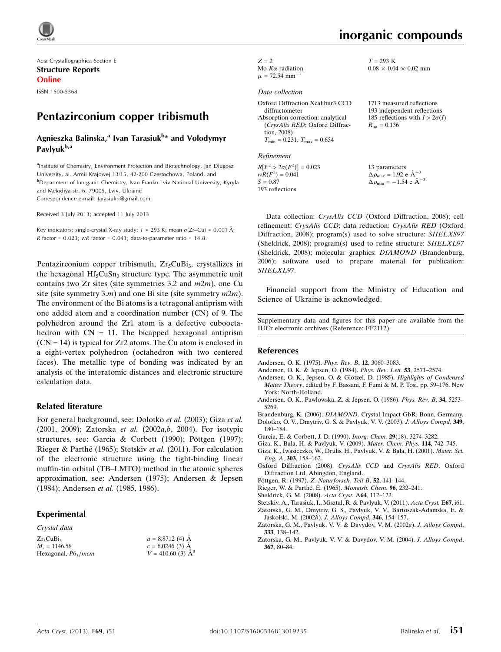

Acta Crystallographica Section E Structure Reports Online

ISSN 1600-5368

# Pentazirconium copper tribismuth

#### Agnieszka Balinska,<sup>a</sup> Ivan Tarasiuk<sup>b</sup>\* and Volodymyr Pavlyuk<sup>b,a</sup>

<sup>a</sup>Institute of Chemistry, Environment Protection and Biotechnology, Jan Dlugosz University, al. Armii Krajowej 13/15, 42-200 Czestochowa, Poland, and b Department of Inorganic Chemistry, Ivan Franko Lviv National University, Kyryla and Mefodiya str. 6, 79005, Lviv, Ukraine Correspondence e-mail: [tarasiuk.i@gmail.com](https://scripts.iucr.org/cgi-bin/cr.cgi?rm=pdfbb&cnor=ff2112&bbid=BB17)

Received 3 July 2013; accepted 11 July 2013

Key indicators: single-crystal X-ray study;  $T$  = 293 K; mean  $\sigma$ (Zr–Cu) = 0.001 Å; R factor =  $0.023$ ; wR factor =  $0.041$ ; data-to-parameter ratio = 14.8.

Pentazirconium copper tribismuth,  $Zr_5CuBi_3$ , crystallizes in the hexagonal  $Hf<sub>5</sub>CuSn<sub>3</sub>$  structure type. The asymmetric unit contains two  $Zr$  sites (site symmetries 3.2 and  $m2m$ ), one Cu site (site symmetry 3.*m*) and one Bi site (site symmetry  $m2m$ ). The environment of the Bi atoms is a tetragonal antiprism with one added atom and a coordination number (CN) of 9. The polyhedron around the Zr1 atom is a defective cubooctahedron with  $CN = 11$ . The bicapped hexagonal antiprism  $(CN = 14)$  is typical for Zr2 atoms. The Cu atom is enclosed in a eight-vertex polyhedron (octahedron with two centered faces). The metallic type of bonding was indicated by an analysis of the interatomic distances and electronic structure calculation data.

#### Related literature

For general background, see: Dolotko et al. (2003); Giza et al. (2001, 2009); Zatorska et al. (2002a,b, 2004). For isotypic structures, see: Garcia & Corbett (1990); Pöttgen (1997); Rieger & Parthé (1965); Stetskiv et al. (2011). For calculation of the electronic structure using the tight-binding linear muffin-tin orbital (TB–LMTO) method in the atomic spheres approximation, see: Andersen (1975); Andersen & Jepsen (1984); Andersen et al. (1985, 1986).

#### Experimental

#### Crystal data  $Zr_5CuBi_3$  $M<sub>r</sub> = 1146.58$ Hexagonal,  $P6_3/mcm$  $a = 8.8712(4)$  Å  $c = 6.0246(3)$  A  $V = 410.60$  (3)  $\AA^3$

| $Z=2$                          |
|--------------------------------|
| Mo $K\alpha$ radiation         |
| $\mu$ = 72.54 mm <sup>-1</sup> |

#### Data collection

| Oxford Diffraction Xcalibur3 CCD     | 1713 me             |
|--------------------------------------|---------------------|
| diffractometer                       | 193 inde            |
| Absorption correction: analytical    | 185 refle           |
| (CrysAlis RED; Oxford Diffrac-       | $R_{\rm int} = 0.1$ |
| tion, 2008)                          |                     |
| $T_{\min} = 0.231, T_{\max} = 0.654$ |                     |

Refinement

 $R[F^2 > 2\sigma(F^2)] = 0.023$  $wR(F^2) = 0.041$  $S = 0.87$ 193 reflections

inorganic compounds

asured reflections pendent reflections 185 reflections with  $I > 2\sigma(I)$ l 36

13 parameters  $\Delta \rho_{\text{max}} = 1.92 \text{ e A}^{-3}$  $\Delta \rho_{\text{min}} = -1.54 \text{ e } \text{\AA}^{-3}$ 

Data collection: CrysAlis CCD (Oxford Diffraction, 2008); cell refinement: CrysAlis CCD; data reduction: CrysAlis RED (Oxford Diffraction, 2008); program(s) used to solve structure: SHELXS97 (Sheldrick, 2008); program(s) used to refine structure: SHELXL97 (Sheldrick, 2008); molecular graphics: DIAMOND (Brandenburg, 2006); software used to prepare material for publication: SHELXL97.

Financial support from the Ministry of Education and Science of Ukraine is acknowledged.

Supplementary data and figures for this paper are available from the IUCr electronic archives (Reference: FF2112).

#### References

- [Andersen, O. K. \(1975\).](https://scripts.iucr.org/cgi-bin/cr.cgi?rm=pdfbb&cnor=ff2112&bbid=BB1) Phys. Rev. B, 12, 3060–3083.
- [Andersen, O. K. & Jepsen, O. \(1984\).](https://scripts.iucr.org/cgi-bin/cr.cgi?rm=pdfbb&cnor=ff2112&bbid=BB2) Phys. Rev. Lett. 53, 2571–2574.
- Andersen, O. K., Jepsen, O. & Glötzel, D. (1985). Highlights of Condensed Matter Theory[, edited by F. Bassani, F. Fumi & M. P. Tosi, pp. 59–176. New](https://scripts.iucr.org/cgi-bin/cr.cgi?rm=pdfbb&cnor=ff2112&bbid=BB3) [York: North-Holland.](https://scripts.iucr.org/cgi-bin/cr.cgi?rm=pdfbb&cnor=ff2112&bbid=BB3)
- [Andersen, O. K., Pawlowska, Z. & Jepsen, O. \(1986\).](https://scripts.iucr.org/cgi-bin/cr.cgi?rm=pdfbb&cnor=ff2112&bbid=BB4) Phys. Rev. B, 34, 5253– [5269.](https://scripts.iucr.org/cgi-bin/cr.cgi?rm=pdfbb&cnor=ff2112&bbid=BB4)
- Brandenburg, K. (2006). DIAMOND[. Crystal Impact GbR, Bonn, Germany.](https://scripts.iucr.org/cgi-bin/cr.cgi?rm=pdfbb&cnor=ff2112&bbid=BB5) [Dolotko, O. V., Dmytriv, G. S. & Pavlyuk, V. V. \(2003\).](https://scripts.iucr.org/cgi-bin/cr.cgi?rm=pdfbb&cnor=ff2112&bbid=BB6) J. Alloys Compd, 349,
- [180–184.](https://scripts.iucr.org/cgi-bin/cr.cgi?rm=pdfbb&cnor=ff2112&bbid=BB6)
- [Garcia, E. & Corbett, J. D. \(1990\).](https://scripts.iucr.org/cgi-bin/cr.cgi?rm=pdfbb&cnor=ff2112&bbid=BB7) Inorg. Chem. 29(18), 3274–3282.
- [Giza, K., Bala, H. & Pavlyuk, V. \(2009\).](https://scripts.iucr.org/cgi-bin/cr.cgi?rm=pdfbb&cnor=ff2112&bbid=BB8) Mater. Chem. Phys. 114, 742–745.
- [Giza, K., Iwasieczko, W., Drulis, H., Pavlyuk, V. & Bala, H. \(2001\).](https://scripts.iucr.org/cgi-bin/cr.cgi?rm=pdfbb&cnor=ff2112&bbid=BB9) Mater. Sci. Eng. A, 303[, 158–162.](https://scripts.iucr.org/cgi-bin/cr.cgi?rm=pdfbb&cnor=ff2112&bbid=BB9)
- [Oxford Diffraction \(2008\).](https://scripts.iucr.org/cgi-bin/cr.cgi?rm=pdfbb&cnor=ff2112&bbid=BB10) CrysAlis CCD and CrysAlis RED. Oxford [Diffraction Ltd, Abingdon, England.](https://scripts.iucr.org/cgi-bin/cr.cgi?rm=pdfbb&cnor=ff2112&bbid=BB10)
- Pöttgen, R. (1997). [Z. Naturforsch. Teil B](https://scripts.iucr.org/cgi-bin/cr.cgi?rm=pdfbb&cnor=ff2112&bbid=BB11), 52, 141-144.
- Rieger, W. & Parthé, E. (1965). Monatsh. Chem. 96, 232-241.
- [Sheldrick, G. M. \(2008\).](https://scripts.iucr.org/cgi-bin/cr.cgi?rm=pdfbb&cnor=ff2112&bbid=BB13) Acta Cryst. A64, 112–122.
- [Stetskiv, A., Tarasiuk, I., Misztal, R. & Pavlyuk, V. \(2011\).](https://scripts.iucr.org/cgi-bin/cr.cgi?rm=pdfbb&cnor=ff2112&bbid=BB14) Acta Cryst. E67, i61.
- [Zatorska, G. M., Dmytriv, G. S., Pavlyuk, V. V., Bartoszak-Adamska, E. &](https://scripts.iucr.org/cgi-bin/cr.cgi?rm=pdfbb&cnor=ff2112&bbid=BB15)
- [Jaskolski, M. \(2002](https://scripts.iucr.org/cgi-bin/cr.cgi?rm=pdfbb&cnor=ff2112&bbid=BB15)b). J. Alloys Compd, 346, 154–157.
- [Zatorska, G. M., Pavlyuk, V. V. & Davydov, V. M. \(2002](https://scripts.iucr.org/cgi-bin/cr.cgi?rm=pdfbb&cnor=ff2112&bbid=BB16)a). J. Alloys Compd, 333[, 138–142.](https://scripts.iucr.org/cgi-bin/cr.cgi?rm=pdfbb&cnor=ff2112&bbid=BB16)
- [Zatorska, G. M., Pavlyuk, V. V. & Davydov, V. M. \(2004\).](https://scripts.iucr.org/cgi-bin/cr.cgi?rm=pdfbb&cnor=ff2112&bbid=BB17) J. Alloys Compd, 367[, 80–84.](https://scripts.iucr.org/cgi-bin/cr.cgi?rm=pdfbb&cnor=ff2112&bbid=BB17)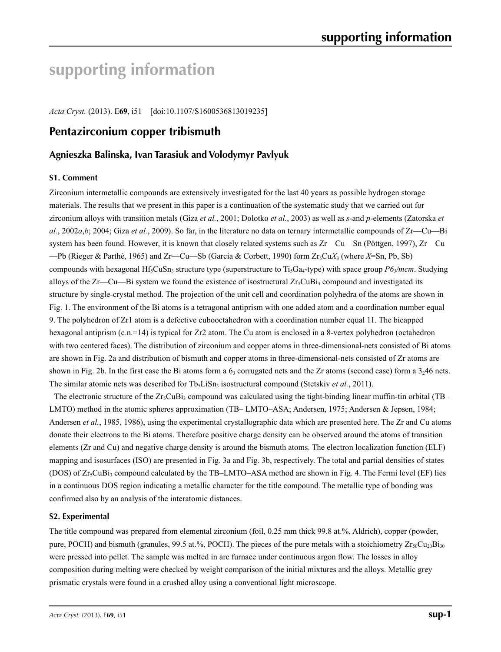# **supporting information**

*Acta Cryst.* (2013). E**69**, i51 [doi:10.1107/S1600536813019235]

## **Pentazirconium copper tribismuth**

#### **Agnieszka Balinska, Ivan Tarasiuk and Volodymyr Pavlyuk**

#### **S1. Comment**

Zirconium intermetallic compounds are extensively investigated for the last 40 years as possible hydrogen storage materials. The results that we present in this paper is a continuation of the systematic study that we carried out for zirconium alloys with transition metals (Giza *et al.*, 2001; Dolotko *et al.*, 2003) as well as *s*-and *p*-elements (Zatorska *et al.*, 2002*a*,*b*; 2004; Giza *et al.*, 2009). So far, in the literature no data on ternary intermetallic compounds of Zr—Cu—Bi system has been found. However, it is known that closely related systems such as Zr—Cu—Sn (Pöttgen, 1997), Zr—Cu —Pb (Rieger & Parthé, 1965) and Zr—Cu—Sb (Garcia & Corbett, 1990) form Zr5Cu*X*3 (where *X*=Sn, Pb, Sb) compounds with hexagonal Hf<sub>5</sub>CuSn<sub>3</sub> structure type (superstructure to Ti<sub>5</sub>Ga<sub>4</sub>-type) with space group *P6<sub>3</sub>/mcm*. Studying alloys of the Zr—Cu—Bi system we found the existence of isostructural  $Zr_5CuBi_3$  compound and investigated its structure by single-crystal method. The projection of the unit cell and coordination polyhedra of the atoms are shown in Fig. 1. The environment of the Bi atoms is a tetragonal antiprism with one added atom and a coordination number equal 9. The polyhedron of Zr1 atom is a defective cubooctahedron with a coordination number equal 11. The bicapped hexagonal antiprism (c.n.=14) is typical for Zr2 atom. The Cu atom is enclosed in a 8-vertex polyhedron (octahedron with two centered faces). The distribution of zirconium and copper atoms in three-dimensional-nets consisted of Bi atoms are shown in Fig. 2a and distribution of bismuth and copper atoms in three-dimensional-nets consisted of Zr atoms are shown in Fig. 2b. In the first case the Bi atoms form a  $6<sub>3</sub>$  corrugated nets and the Zr atoms (second case) form a 3<sub>2</sub>46 nets. The similar atomic nets was described for Tb<sub>5</sub>LiSn<sub>3</sub> isostructural compound (Stetskiv *et al.*, 2011).

The electronic structure of the Zr<sub>5</sub>CuBi<sub>3</sub> compound was calculated using the tight-binding linear muffin-tin orbital (TB– LMTO) method in the atomic spheres approximation (TB– LMTO–ASA; Andersen, 1975; Andersen & Jepsen, 1984; Andersen *et al.*, 1985, 1986), using the experimental crystallographic data which are presented here. The Zr and Cu atoms donate their electrons to the Bi atoms. Therefore positive charge density can be observed around the atoms of transition elements (Zr and Cu) and negative charge density is around the bismuth atoms. The electron localization function (ELF) mapping and isosurfaces (ISO) are presented in Fig. 3a and Fig. 3b, respectively. The total and partial densities of states (DOS) of  $Zr_5CuBi_3$  compound calculated by the TB–LMTO–ASA method are shown in Fig. 4. The Fermi level (EF) lies in a continuous DOS region indicating a metallic character for the title compound. The metallic type of bonding was confirmed also by an analysis of the interatomic distances.

#### **S2. Experimental**

The title compound was prepared from elemental zirconium (foil, 0.25 mm thick 99.8 at.%, Aldrich), copper (powder, pure, POCH) and bismuth (granules, 99.5 at.%, POCH). The pieces of the pure metals with a stoichiometry  $Zr_{50}Cu_{20}Bi_{30}$ were pressed into pellet. The sample was melted in arc furnace under continuous argon flow. The losses in alloy composition during melting were checked by weight comparison of the initial mixtures and the alloys. Metallic grey prismatic crystals were found in a crushed alloy using a conventional light microscope.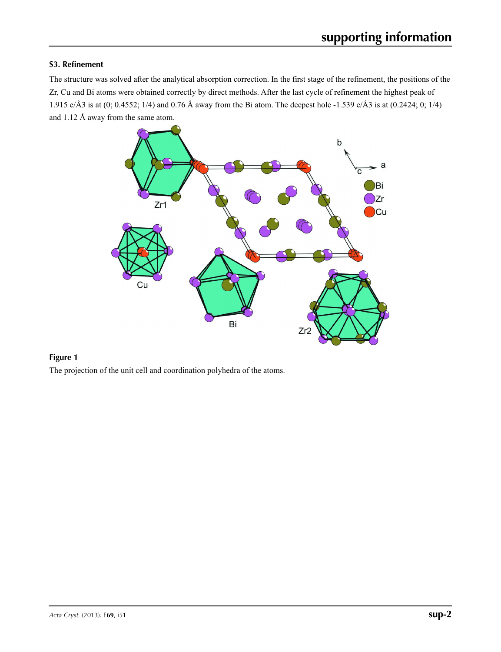#### **S3. Refinement**

The structure was solved after the analytical absorption correction. In the first stage of the refinement, the positions of the Zr, Cu and Bi atoms were obtained correctly by direct methods. After the last cycle of refinement the highest peak of 1.915 e/Å3 is at (0; 0.4552; 1/4) and 0.76 Å away from the Bi atom. The deepest hole -1.539 e/Å3 is at (0.2424; 0; 1/4) and 1.12 Å away from the same atom.



#### **Figure 1**

The projection of the unit cell and coordination polyhedra of the atoms.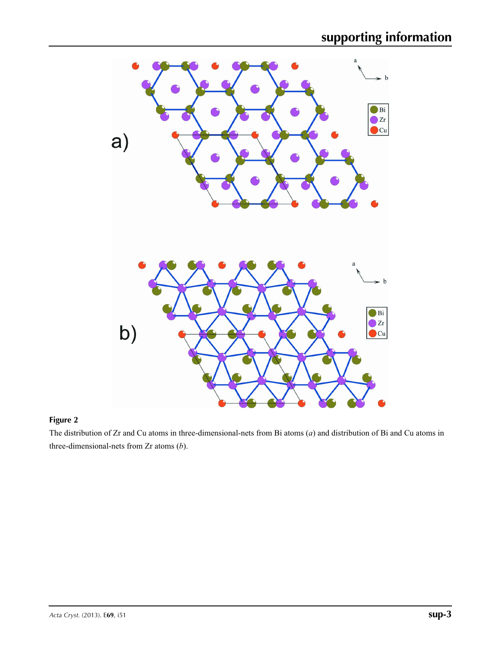

### **Figure 2**

The distribution of Zr and Cu atoms in three-dimensional-nets from Bi atoms (*a*) and distribution of Bi and Cu atoms in three-dimensional-nets from Zr atoms (*b*).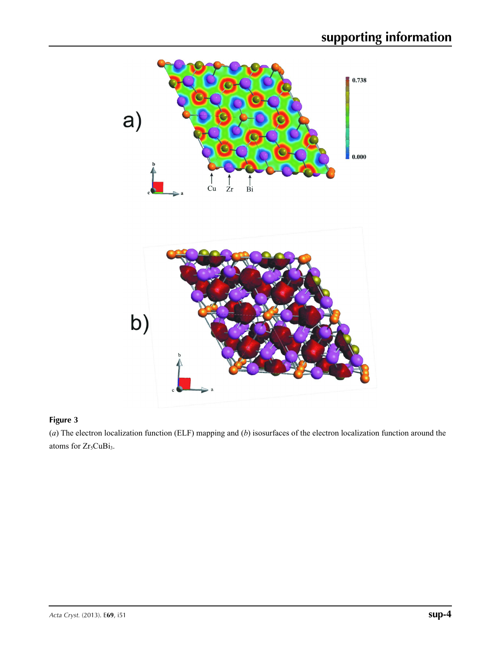

### **Figure 3**

(*a*) The electron localization function (ELF) mapping and (*b*) isosurfaces of the electron localization function around the atoms for Zr<sub>5</sub>CuBi<sub>3</sub>.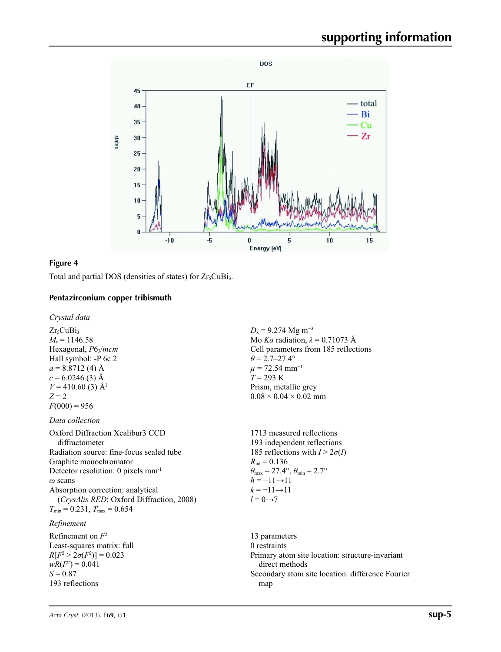

#### **Figure 4**

Total and partial DOS (densities of states) for  $Zr_5CuBi_3$ .

#### **Pentazirconium copper tribismuth**

*Crystal data*

 $Zr<sub>5</sub>CuBi<sub>3</sub>$  $M_r = 1146.58$ Hexagonal,  $P6_3/mcm$ Hall symbol: -P 6c 2  $a = 8.8712(4)$  Å  $c = 6.0246(3)$  Å  $V = 410.60$  (3) Å<sup>3</sup> *Z* = 2  $F(000) = 956$ 

#### *Data collection*

Oxford Diffraction Xcalibur3 CCD diffractometer Radiation source: fine-focus sealed tube Graphite monochromator Detector resolution: 0 pixels mm-1 *ω* scans Absorption correction: analytical (*CrysAlis RED*; Oxford Diffraction, 2008)  $T_{\text{min}} = 0.231$ ,  $T_{\text{max}} = 0.654$ 

#### *Refinement*

Refinement on *F*<sup>2</sup> Least-squares matrix: full  $R[F^2 > 2\sigma(F^2)] = 0.023$  $wR(F^2) = 0.041$  $S = 0.87$ 193 reflections

 $D_x = 9.274$  Mg m<sup>-3</sup> Mo *Kα* radiation, *λ* = 0.71073 Å Cell parameters from 185 reflections  $\theta$  = 2.7–27.4°  $\mu$  = 72.54 mm<sup>-1</sup> *T* = 293 K Prism, metallic grey  $0.08 \times 0.04 \times 0.02$  mm

1713 measured reflections 193 independent reflections 185 reflections with  $I > 2\sigma(I)$  $R_{\text{int}} = 0.136$  $\theta_{\text{max}} = 27.4^{\circ}, \theta_{\text{min}} = 2.7^{\circ}$  $h = -11 \rightarrow 11$  $k = -11 \rightarrow 11$  $l = 0 \rightarrow 7$ 

13 parameters 0 restraints Primary atom site location: structure-invariant direct methods Secondary atom site location: difference Fourier map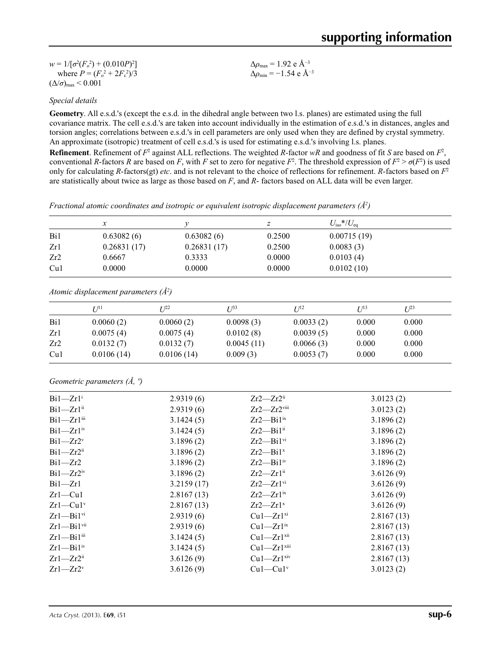| $w = 1/[\sigma^2(F_0^2) + (0.010P)^2]$ | $\Delta\rho_{\rm max} = 1.92 \text{ e A}^{-3}$   |
|----------------------------------------|--------------------------------------------------|
| where $P = (F_0^2 + 2F_c^2)/3$         | $\Delta\rho_{\rm min}$ = -1.54 e Å <sup>-3</sup> |
| $(\Delta/\sigma)_{\text{max}}$ < 0.001 |                                                  |

#### *Special details*

**Geometry**. All e.s.d.'s (except the e.s.d. in the dihedral angle between two l.s. planes) are estimated using the full covariance matrix. The cell e.s.d.'s are taken into account individually in the estimation of e.s.d.'s in distances, angles and torsion angles; correlations between e.s.d.'s in cell parameters are only used when they are defined by crystal symmetry. An approximate (isotropic) treatment of cell e.s.d.'s is used for estimating e.s.d.'s involving l.s. planes. **Refinement**. Refinement of  $F^2$  against ALL reflections. The weighted *R*-factor  $wR$  and goodness of fit *S* are based on  $F^2$ , conventional *R*-factors *R* are based on *F*, with *F* set to zero for negative  $F^2$ . The threshold expression of  $F^2 > \sigma(F^2)$  is used

only for calculating *R*-factors(gt) *etc*. and is not relevant to the choice of reflections for refinement. *R*-factors based on *F*<sup>2</sup>

are statistically about twice as large as those based on *F*, and *R*- factors based on ALL data will be even larger.

*Fractional atomic coordinates and isotropic or equivalent isotropic displacement parameters (Å2 )*

|     | $\mathcal{X}$                                      |             | z             |           | $U_{\rm iso}*/U_{\rm eq}$ |          |
|-----|----------------------------------------------------|-------------|---------------|-----------|---------------------------|----------|
| Bi1 | 0.63082(6)                                         | 0.63082(6)  |               | 0.2500    | 0.00715(19)               |          |
| Zr1 | 0.26831(17)                                        | 0.26831(17) |               | 0.2500    | 0.0083(3)                 |          |
| Zr2 | 0.6667                                             | 0.3333      | 0.0000        |           | 0.0103(4)                 |          |
| Cu1 | 0.0000                                             | 0.0000      | 0.0000        |           | 0.0102(10)                |          |
|     |                                                    |             |               |           |                           |          |
|     | Atomic displacement parameters $(A^2)$<br>$U^{11}$ | I/22        | $I^{\beta 3}$ | $U^{12}$  | $U^{13}$                  | $U^{23}$ |
| Bi1 | 0.0060(2)                                          | 0.0060(2)   | 0.0098(3)     | 0.0033(2) | 0.000                     | 0.000    |
| Zr1 | 0.0075(4)                                          | 0.0075(4)   | 0.0102(8)     | 0.0039(5) | 0.000                     | 0.000    |

Cu1 0.0106 (14) 0.0106 (14) 0.009 (3) 0.0053 (7) 0.000 0.000

#### *Geometric parameters (Å, º)*

| $Bi1 - Zr1$ <sup>i</sup>   | 2.9319(6)  | $Zr2-Zr2ii$                 | 3.0123(2)  |
|----------------------------|------------|-----------------------------|------------|
| $Bi1 - Zr1$ <sup>ii</sup>  | 2.9319(6)  | $Zr2-Zr2$ <sup>viii</sup>   | 3.0123(2)  |
| $Bi1 - Zr1$ <sup>iii</sup> | 3.1424(5)  | $Zr2$ —Bil <sup>ix</sup>    | 3.1896(2)  |
| $Bi1 - Zr1$ <sup>iv</sup>  | 3.1424(5)  | $Zr2$ —Bil <sup>ii</sup>    | 3.1896(2)  |
| $Bi1 - Zr2v$               | 3.1896(2)  | $Zr2$ —Bil <sup>vi</sup>    | 3.1896(2)  |
| $Bi1 - Zr2$ <sup>ii</sup>  | 3.1896(2)  | $Zr2$ —Bil <sup>x</sup>     | 3.1896(2)  |
| $Bi1 - Zr2$                | 3.1896(2)  | $Zr2$ —Bil <sup>iv</sup>    | 3.1896(2)  |
| $Bi1 - Zr2$ <sup>iv</sup>  | 3.1896(2)  | $Zr2-Zr1$ <sup>ii</sup>     | 3.6126(9)  |
| $Bi1 - Zr1$                | 3.2159(17) | $Zr2-Zr1$ <sup>vi</sup>     | 3.6126(9)  |
| $Zr1-Cu1$                  | 2.8167(13) | $Zr2-Zr1$ <sup>ix</sup>     | 3.6126(9)  |
| $Zr1-Cu1v$                 | 2.8167(13) | $Zr2-Zr1^x$                 | 3.6126(9)  |
| $Zr1 - Bi1$ <sup>vi</sup>  | 2.9319(6)  | $Cu1 - Zr1^{xi}$            | 2.8167(13) |
| $Zr1 - Bi1$ <sup>vii</sup> | 2.9319(6)  | $Cu1 - Zr1$ <sup>ix</sup>   | 2.8167(13) |
| $Zr1 - Bi1$ <sup>iii</sup> | 3.1424(5)  | $Cu1 - Zr1$ <sup>xii</sup>  | 2.8167(13) |
| $Zr1 - Bi1iv$              | 3.1424(5)  | $Cu1 - Zr1$ <sup>xiii</sup> | 2.8167(13) |
| $Zr1 - Zr2$ <sup>ii</sup>  | 3.6126(9)  | $Cu1 - Zr1$ <sup>xiv</sup>  | 2.8167(13) |
| $Zr1 - Zr2v$               | 3.6126(9)  | $Cu1-Cu1$ <sup>v</sup>      | 3.0123(2)  |
|                            |            |                             |            |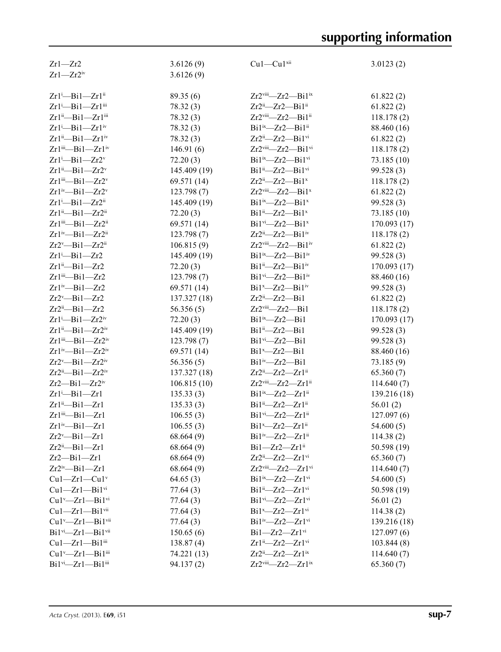| $Zr1 - Zr2$                                        | 3.6126(9)    | $Cu1-Cu1$ <sup>xii</sup>                            | 3.0123(2)    |
|----------------------------------------------------|--------------|-----------------------------------------------------|--------------|
| $Zr1 - Zr2$ iv                                     | 3.6126(9)    |                                                     |              |
|                                                    |              |                                                     |              |
| Zrl <sup>i</sup> -Bil-Zrlii                        | 89.35(6)     | $Zr2$ <sup>viii</sup> — $Zr2$ — $Bi1$ <sup>ix</sup> | 61.822(2)    |
| Zr1 <sup>i</sup> -Bi1-Zr1iii                       | 78.32 (3)    | $Zr2^{ii}$ - $Zr2$ - $Bi1^{ii}$                     | 61.822(2)    |
| Zr1"-Bi1-Zr1"                                      | 78.32 (3)    | Zr2viii-Zr2-Bi1ii                                   | 118.178(2)   |
| $Zr1$ <sup>i</sup> -Bil- $Zr1$ <sup>iv</sup>       | 78.32 (3)    | $Bi1ix$ -Zr2-Bi1 <sup>ii</sup>                      | 88.460 (16)  |
| $Zr1^{ii}$ -Bi $1$ - $Zr1^{iv}$                    | 78.32(3)     | $Zr2^{ii}$ — $Zr2$ —Bil <sup>vi</sup>               | 61.822(2)    |
| Zr1iii-Bi1-Zr1iv                                   | 146.91(6)    | Zr2viii-Zr2-Bi1vi                                   | 118.178(2)   |
| $Zr1$ <sup>i</sup> -Bi1- $Zr2$ <sup>v</sup>        | 72.20(3)     | Bi1ix-Zr2-Bi1vi                                     | 73.185 (10)  |
| $Zr1^{ii}$ -Bi $1$ - $Zr2^{v}$                     | 145.409 (19) | $Bi1ii - Zr2 - Bi1vi$                               | 99.528 (3)   |
| $Zr1$ <sup>iii</sup> -Bi1- $Zr2$ <sup>v</sup>      | 69.571 (14)  | $Zr2^{ii}$ — $Zr2$ —Bil <sup>x</sup>                | 118.178(2)   |
| $Zr1^{iv}$ -Bi $1$ - $Zr2^{v}$                     | 123.798 (7)  | $Zr2$ <sup>viii</sup> — $Zr2$ — $Bi1^x$             | 61.822(2)    |
| $Zr1$ <sup>i</sup> -Bi1- $Zr2$ <sup>ii</sup>       | 145.409 (19) | $Bi1^{ix}$ - $Zr2$ - $Bi1^x$                        | 99.528 (3)   |
| $Zr1^{ii}$ -Bi $1$ - $Zr2^{ii}$                    | 72.20(3)     | $Bi1ii - Zr2 - Bi1x$                                | 73.185 (10)  |
| Zr1iii-Bi1-Zr2ii                                   | 69.571 (14)  | $Bi1$ <sup>vi</sup> - $Zr2$ - $Bi1$ <sup>x</sup>    | 170.093 (17) |
| $Zr1^{iv}$ -Bi $1$ - $Zr2^{ii}$                    | 123.798 (7)  | $Zr2^{ii}$ - $Zr2$ - $Bi1^{iv}$                     | 118.178(2)   |
| $Zr2^v$ -Bil- $Zr2^{ii}$                           | 106.815(9)   | Zr2viii-Zr2-Bi1iv                                   | 61.822(2)    |
| $Zr1 - Bi1 - Zr2$                                  | 145.409 (19) | $Bi1^{ix}$ - $Zr2$ - $Bi1^{iv}$                     | 99.528 (3)   |
| $Zr1^{ii}$ -Bi $1$ - $Zr2$                         | 72.20(3)     | Bi1ii-Zr2-Bi1iv                                     | 170.093 (17) |
| Zr1iii-Bi1-Zr2                                     | 123.798 (7)  | $Bi1vi$ - $Zr2$ - $Bi1iv$                           | 88.460 (16)  |
| $Zr1^{iv}$ -Bi $1$ - $Zr2$                         | 69.571 (14)  | $Bi1^x$ $Zr2$ $Bi1^iv$                              | 99.528 (3)   |
| $Zr2^v$ —Bil—Zr2                                   | 137.327 (18) | $Zr2i-Zr2$ -Bil                                     | 61.822(2)    |
| $Zr2^{ii}-Bi1-Zr2$                                 | 56.356(5)    | Zr2viii-Zr2-Bi1                                     | 118.178(2)   |
| Zr1 <sup>i</sup> -Bi1-Zr2 <sup>iv</sup>            | 72.20(3)     | $Bi1ix - Zr2 - Bi1$                                 | 170.093 (17) |
| $Zr1^{ii}$ —Bi $1$ — $Zr2^{iv}$                    | 145.409 (19) | $Bi1ii - Zr2 - Bi1$                                 | 99.528 (3)   |
| $Zr1$ <sup>iii</sup> —Bi $1$ — $Zr2$ <sup>iv</sup> | 123.798(7)   | $Bi1vi - Zr2 - Bi1$                                 | 99.528 (3)   |
| $Zr1^{iv}$ —Bi $1$ — $Zr2^{iv}$                    | 69.571 (14)  | $Bi1^x$ - $Zr2$ - $Bi1$                             | 88.460 (16)  |
| $Zr2^v$ —Bil— $Zr2^iv$                             | 56.356(5)    | $Bi1iv$ -Zr2-Bi1                                    | 73.185(9)    |
| $Zr2^{ii}$ -Bil- $Zr2^{iv}$                        | 137.327 (18) | $Zr2^{ii}$ - $Zr2$ - $Zr1^{ii}$                     | 65.360(7)    |
| $Zr2$ —Bi $1$ — $Zr2$ <sup>iv</sup>                | 106.815(10)  | Zr2viii-Zr2-Zr1ii                                   | 114.640(7)   |
| $Zr1 - Bi1 - Zr1$                                  | 135.33(3)    | $Bi1^{ix}-Zr2-Zr1^{ii}$                             | 139.216 (18) |
| $Zr1^{ii}$ -Bi $1$ - $Zr1$                         | 135.33(3)    | $Bi1ii - Zr2 - Zr1ii$                               | 56.01(2)     |
| Zrliii-Bil-Zrl                                     | 106.55(3)    | Bi1vi-Zr2-Zr1ii                                     | 127.097(6)   |
| $Zr1^{iv}$ -Bi $1$ - $Zr1$                         | 106.55(3)    | $Bi1^x$ - $Zr2$ - $Zr1^{\text{ii}}$                 | 54.600(5)    |
| $Zr2^v$ —Bil— $Zr1$                                | 68.664(9)    | $Bi1'''$ $Zr2$ $Zr1'''$                             | 114.38(2)    |
| $Zr2^{ii}$ -Bil- $Zr1$                             | 68.664(9)    | $Bi1 - Zr2 - Zr1$ <sup>ii</sup>                     | 50.598 (19)  |
| $Zr2$ —Bil— $Zr1$                                  | 68.664(9)    | $Zr2^{ii}$ - $Zr2$ - $Zr1$ <sup>vi</sup>            | 65.360(7)    |
| $Zr2^{iv}-Bi1-Zr1$                                 | 68.664(9)    | Zr2viii-Zr2-Zr1vi                                   | 114.640(7)   |
| $Cu1 - Zr1 - Cu1$ <sup>v</sup>                     | 64.65(3)     | $Bi1^{ix}$ - $Zr2$ - $Zr1^{vi}$                     | 54.600(5)    |
| $Cu1 - Zr1 - Bi1$ <sup>vi</sup>                    | 77.64(3)     | $Bi1^{ii}$ - $Zr2$ - $Zr1$ <sup>vi</sup>            | 50.598 (19)  |
| $Cu1^v$ — $Zr1$ — $Bi1$ <sup>vi</sup>              | 77.64(3)     | $Bi1vi - Zr2 - Zr1vi$                               | 56.01(2)     |
| $Cu1 - Zr1 - Bi1$ <sup>vii</sup>                   | 77.64(3)     | $Bi1^x$ - $Zr2$ - $Zr1$ <sup>vi</sup>               | 114.38(2)    |
| $Cu1^v$ -Zr $1$ -Bi $1^{vi}$                       | 77.64(3)     | $Bi1iv$ -Zr2-Zr1 $vi$                               | 139.216 (18) |
| $Bi1vi$ -Zrl-Bil <sup>vii</sup>                    | 150.65(6)    | $Bi1 - Zr2 - Zr1$ <sup>vi</sup>                     | 127.097(6)   |
| $Cu1 - Zr1 - Bi1$ <sup>iii</sup>                   | 138.87(4)    | Zr1ii-Zr2-Zr1vi                                     | 103.844(8)   |
| Cu1 <sup>v</sup> -Zr1-Bi1iii                       | 74.221 (13)  | $Zr2^{ii}$ — $Zr2$ — $Zr1^{ix}$                     | 114.640(7)   |
| Bil <sup>vi</sup> -Zrl-Bil <sup>iii</sup>          | 94.137(2)    | $Zr2$ <sup>viii</sup> — $Zr2$ — $Zr1$ <sup>ix</sup> | 65.360(7)    |
|                                                    |              |                                                     |              |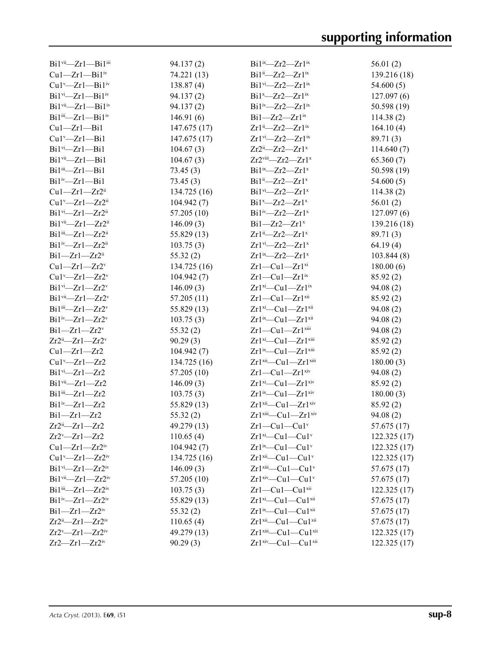| Bil <sup>vii</sup> -Zrl-Bil <sup>iii</sup>        | 94.137(2)    | $Bi1^{ix}$ $Zr2$ $Zr1^{ix}$                         | 56.01(2)     |
|---------------------------------------------------|--------------|-----------------------------------------------------|--------------|
| $Cu1 - Zr1 - Bi1$ <sup>iv</sup>                   | 74.221 (13)  | $Bi1^{ii}$ $Zr2$ $Zr1^{ix}$                         | 139.216 (18) |
| $Cu1^v$ — $Zr1$ — $Bi1$ <sup>iv</sup>             | 138.87(4)    | $Bi1vi$ -Zr2- $Zr1ix$                               | 54.600(5)    |
| $Bi1vi - Zr1 - Bi1iv$                             | 94.137(2)    | $Bi1^x$ - $Zr2$ - $Zr1^x$                           | 127.097(6)   |
| $Bi1vi$ -Zrl-Bil <sup>iv</sup>                    | 94.137(2)    | $Bi1iv$ -Zr2-Zr1 $ix$                               | 50.598 (19)  |
| $Bi1iii—Zr1—Bi1iv$                                | 146.91(6)    | $Bi1 - Zr2 - Zr1$ <sup>ix</sup>                     | 114.38(2)    |
| $Cu1 - Zr1 - Bi1$                                 | 147.675 (17) | $Zr1^{ii}$ — $Zr2$ — $Zr1^{ix}$                     | 164.10(4)    |
| $Cu1^v$ -Zrl-Bil                                  | 147.675 (17) | $Zr1^{vi}$ $-Zr2$ $-Zr1^{ix}$                       | 89.71 (3)    |
| $Bi1$ <sup>vi</sup> $-Zr1$ -Bi1                   | 104.67(3)    | $Zr2i-Zr2-Zr1x$                                     | 114.640(7)   |
| $Bi1vi - Zr1 - Bi1$                               | 104.67(3)    | $Zr2$ <sup>viii</sup> - $Zr2$ - $Zr1$ <sup>x</sup>  | 65.360(7)    |
| $Bi1$ <sup>iii</sup> - $Zr1$ - $Bi1$              | 73.45(3)     | $Bi1'x$ - $Zr2$ - $Zr1'x$                           | 50.598 (19)  |
| $Bi1iv - Zr1 - Bi1$                               | 73.45(3)     | $Bi1^{ii}$ - $Zr2$ - $Zr1^{x}$                      | 54.600(5)    |
| $Cu1 - Zr1 - Zr2$ <sup>ii</sup>                   | 134.725 (16) | $Bi1vi - Zr2 - Zr1x$                                | 114.38(2)    |
| $Cu1^v$ —Zr $1$ —Zr $2^{ii}$                      | 104.942(7)   | $Bi1^x$ - $Zr2$ - $Zr1^x$                           | 56.01(2)     |
| $Bi1^{vi}$ - $Zr1$ - $Zr2^{ii}$                   | 57.205(10)   | $Bi1'w - Zr2 - Zr1'$                                | 127.097(6)   |
| $Bi1$ <sup>vii</sup> —Zr1—Zr2 <sup>ii</sup>       | 146.09(3)    | $Bi1 - Zr2 - Zr1$ <sup>x</sup>                      | 139.216 (18) |
| $Bi1$ <sup>iii</sup> —Zr1—Zr2 <sup>ii</sup>       | 55.829(13)   | $Zr1^{ii}$ - $Zr2$ - $Zr1^{x}$                      | 89.71 (3)    |
| $Bi1^{iv}$ -Zr1-Zr2 <sup>ii</sup>                 | 103.75(3)    | $Zr1^{vi}$ - $Zr2$ - $Zr1^{x}$                      | 64.19(4)     |
| $Bi1 - Zr1 - Zr2$ <sup>ii</sup>                   | 55.32(2)     | $Zr1^{ix}$ — $Zr2$ — $Zr1^{x}$                      | 103.844 (8)  |
| $Cu1 - Zr1 - Zr2v$                                | 134.725 (16) | $Zr1-Cu1-Zr1$ <sup>xi</sup>                         | 180.00(6)    |
| $Cu1^v$ —Zr $1$ —Zr $2^v$                         | 104.942(7)   | $Zr1-Cu1-Zr1$ <sup>ix</sup>                         | 85.92 (2)    |
| $Bi1vi - Zr1 - Zr2v$                              | 146.09(3)    | $Zr1^{xi}$ —Cu1— $Zr1^{ix}$                         | 94.08(2)     |
| $Bi1$ <sup>vii</sup> - $Zr1$ - $Zr2$ <sup>v</sup> | 57.205(11)   | $Zr1-Cu1-Zr1$ <sup>xii</sup>                        | 85.92 (2)    |
| $Bi1$ <sup>iii</sup> —Zr1—Zr2 <sup>v</sup>        | 55.829 (13)  | $Zr1^{xi}$ —Cu1— $Zr1^{xii}$                        | 94.08 (2)    |
| $Bi1^{iv}$ - $Zr1$ - $Zr2^{v}$                    | 103.75(3)    | $Zr1^{ix}$ —Cu1— $Zr1^{xii}$                        | 94.08(2)     |
| $Bi1 - Zr1 - Zr2v$                                | 55.32(2)     | $Zr1-Cu1-Zr1$ <sup>xiii</sup>                       | 94.08(2)     |
| $Zr2^{ii}$ - $Zr1$ - $Zr2^{v}$                    | 90.29(3)     | $Zr1^{xi}$ —Cu1— $Zr1^{xiii}$                       | 85.92 (2)    |
| $Cu1 - Zr1 - Zr2$                                 | 104.942(7)   | $Zr1^{ix}$ —Cu1— $Zr1^{xiii}$                       | 85.92(2)     |
| $Cu1^v$ -Zrl-Zr2                                  | 134.725 (16) | Zr1 <sup>xii</sup> -Cu1-Zr1 <sup>xiii</sup>         | 180.00(3)    |
| $Bi1vi - Zr1 - Zr2$                               | 57.205(10)   | $Zr1-Cu1-Zr1$ <sup>xiv</sup>                        | 94.08(2)     |
| $Bi1vi$ -Zrl-Zr2                                  | 146.09(3)    | $Zr1^{xi}$ —Cu1— $Zr1^{xiv}$                        | 85.92(2)     |
| $Bi1$ <sup>iii</sup> - $Zr1$ - $Zr2$              | 103.75(3)    | $Zr1^{ix}$ —Cu1— $Zr1^{xiv}$                        | 180.00(3)    |
| $Bi1iv - Zr1 - Zr2$                               | 55.829 (13)  | $Zr1^{xii}$ - $Cu1$ - $Zr1^{xiv}$                   | 85.92 (2)    |
| $Bi1 - Zr1 - Zr2$                                 | 55.32(2)     | $Zr1$ <sup>xii</sup> — $Cu1$ — $Zr1$ <sup>xiv</sup> | 94.08 (2)    |
| $Zr2^{ii}$ - $Zr1$ - $Zr2$                        | 49.279 (13)  | $Zr1-Cu1-Cu1v$                                      | 57.675(17)   |
| $Zr2 - Zr1 - Zr2$                                 | 110.65(4)    | $Zr1^{xi}-Cu1-Cu1^{v}$                              | 122.325(17)  |
| $Cu1 - Zr1 - Zr2$ <sup>iv</sup>                   | 104.942 (7)  | $Zr1^{ix}$ —Cu1—Cu1 <sup>v</sup>                    | 122.325(17)  |
| $Cu1^v$ — $Zr1$ — $Zr2^iv$                        | 134.725 (16) | $Zr1^{xii}$ - $Cu1$ - $Cu1^v$                       | 122.325 (17) |
| $Bi1vi - Zr1 - Zr2iv$                             | 146.09(3)    | $Zr1$ <sup>xiii</sup> — $Cu1$ — $Cu1$ <sup>v</sup>  | 57.675 (17)  |
| $Bi1vi$ -Zr1-Zr2 <sup>iv</sup>                    | 57.205 (10)  | $Zr1xiv$ -Cu1-Cu1 <sup>v</sup>                      | 57.675 (17)  |
| $Bi1$ <sup>iii</sup> —Zr1—Zr2 <sup>iv</sup>       | 103.75(3)    | $Zr1-Cu1-Cu1$ <sup>xii</sup>                        | 122.325(17)  |
| $Bi1^{iv}$ - $Zr1$ - $Zr2^{iv}$                   | 55.829 (13)  | $Zr1^{xi}$ —Cu1—Cu1 <sup>xii</sup>                  | 57.675 (17)  |
| $Bi1 - Zr1 - Zr2$ <sup>iv</sup>                   | 55.32(2)     | $Zr1^{ix}$ —Cu1—Cu1 $x^{ii}$                        | 57.675 (17)  |
| $Zr2^{ii}$ — $Zr1$ — $Zr2^{iv}$                   | 110.65(4)    | $Zr1$ <sup>xii</sup> —Cu1—Cu1 <sup>xii</sup>        | 57.675 (17)  |
| $Zr2^v$ — $Zr1$ — $Zr2^iv$                        | 49.279 (13)  | Zr1 <sup>xii</sup> -Cu1-Cu1 <sup>xii</sup>          | 122.325(17)  |
| $Zr2-Zr1-Zr2$ iv                                  | 90.29(3)     | Zr1 <sup>xiv</sup> -Cu1-Cu1 <sup>xii</sup>          | 122.325(17)  |